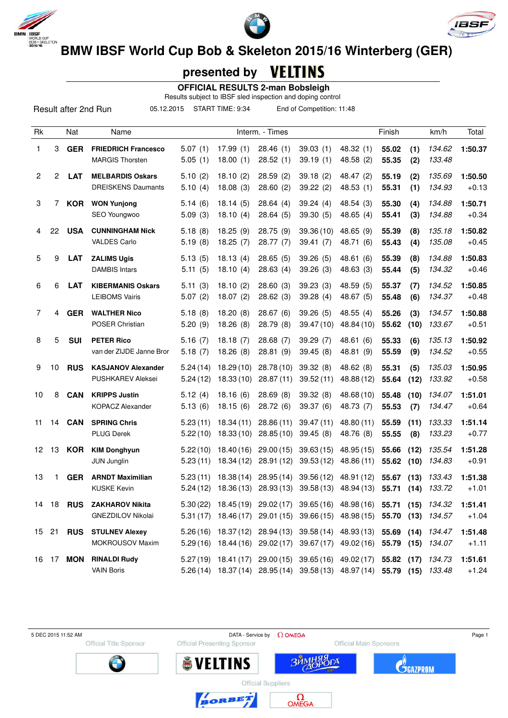





# **presented by**

 **OFFICIAL RESULTS 2-man Bobsleigh**

Results subject to IBSF sled inspection and doping control

Result after 2nd Run

05.12.2015 START TIME: 9:34 End of Competition: 11:48

| Rk             |    | Nat        | Name                                                 |                      |                          | Interm. - Times          |                         |                                     | Finish         |              | km/h             | Total              |
|----------------|----|------------|------------------------------------------------------|----------------------|--------------------------|--------------------------|-------------------------|-------------------------------------|----------------|--------------|------------------|--------------------|
| $\mathbf{1}$   | 3  | <b>GER</b> | <b>FRIEDRICH Francesco</b><br><b>MARGIS Thorsten</b> | 5.07(1)<br>5.05(1)   | 17.99(1)<br>18.00(1)     | 28.46(1)<br>28.52 (1)    | 39.03(1)<br>39.19(1)    | 48.32 (1)<br>48.58 (2)              | 55.02<br>55.35 | (1)<br>(2)   | 134.62<br>133.48 | 1:50.37            |
| 2              | 2  | <b>LAT</b> | <b>MELBARDIS Oskars</b><br><b>DREISKENS Daumants</b> | 5.10(2)<br>5.10(4)   | 18.10(2)<br>18.08(3)     | 28.59(2)<br>28.60(2)     | 39.18(2)<br>39.22(2)    | 48.47 (2)<br>48.53 (1)              | 55.19<br>55.31 | (2)<br>(1)   | 135.69<br>134.93 | 1:50.50<br>$+0.13$ |
| 3              | 7  | <b>KOR</b> | <b>WON Yunjong</b><br>SEO Youngwoo                   | 5.14(6)<br>5.09(3)   | 18.14(5)<br>18.10(4)     | 28.64(4)<br>28.64 (5)    | 39.24(4)<br>39.30(5)    | 48.54 (3)<br>48.65 (4)              | 55.30<br>55.41 | (4)<br>(3)   | 134.88<br>134.88 | 1:50.71<br>$+0.34$ |
| $\overline{4}$ | 22 | <b>USA</b> | <b>CUNNINGHAM Nick</b><br><b>VALDES Carlo</b>        | 5.18(8)<br>5.19(8)   | 18.25(9)<br>18.25(7)     | 28.75 (9)<br>28.77 (7)   | 39.36(10)<br>39.41 (7)  | 48.65 (9)<br>48.71 (6)              | 55.39<br>55.43 | (8)<br>(4)   | 135.18<br>135.08 | 1:50.82<br>$+0.45$ |
| 5              | 9  | <b>LAT</b> | <b>ZALIMS Ugis</b><br><b>DAMBIS Intars</b>           | 5.13(5)<br>5.11(5)   | 18.13(4)<br>18.10(4)     | 28.65(5)<br>28.63(4)     | 39.26 (5)<br>39.26(3)   | 48.61 (6)<br>48.63 (3)              | 55.39<br>55.44 | (8)<br>(5)   | 134.88<br>134.32 | 1:50.83<br>$+0.46$ |
| 6              | 6  | <b>LAT</b> | <b>KIBERMANIS Oskars</b><br><b>LEIBOMS Vairis</b>    | 5.11(3)<br>5.07(2)   | 18.10(2)<br>18.07(2)     | 28.60(3)<br>28.62 (3)    | 39.23(3)<br>39.28(4)    | 48.59 (5)<br>48.67 (5)              | 55.37<br>55.48 | (7)<br>(6)   | 134.52<br>134.37 | 1:50.85<br>$+0.48$ |
| 7              | 4  | <b>GER</b> | <b>WALTHER Nico</b><br><b>POSER Christian</b>        | 5.18(8)<br>5.20(9)   | 18.20(8)<br>18.26(8)     | 28.67(6)<br>28.79 (8)    | 39.26(5)<br>39.47 (10)  | 48.55 (4)<br>48.84 (10)             | 55.26<br>55.62 | (3)<br>(10)  | 134.57<br>133.67 | 1:50.88<br>$+0.51$ |
| 8              | 5  | <b>SUI</b> | <b>PETER Rico</b><br>van der ZIJDE Janne Bror        | 5.16(7)<br>5.18(7)   | 18.18(7)<br>18.26 (8)    | 28.68 (7)<br>28.81 (9)   | 39.29 (7)<br>39.45(8)   | 48.61 (6)<br>48.81 (9)              | 55.33<br>55.59 | (6)<br>(9)   | 135.13<br>134.52 | 1:50.92<br>$+0.55$ |
| 9              | 10 | <b>RUS</b> | <b>KASJANOV Alexander</b><br>PUSHKAREV Aleksei       | 5.24(14)<br>5.24(12) | 18.29(10)<br>18.33(10)   | 28.78 (10)<br>28.87(11)  | 39.32(8)<br>39.52(11)   | 48.62 (8)<br>48.88 (12)             | 55.31<br>55.64 | (5)<br>(12)  | 135.03<br>133.92 | 1:50.95<br>$+0.58$ |
| 10             | 8  | <b>CAN</b> | <b>KRIPPS Justin</b><br><b>KOPACZ Alexander</b>      | 5.12(4)<br>5.13(6)   | 18.16(6)<br>18.15(6)     | 28.69(8)<br>28.72 (6)    | 39.32 (8)<br>39.37 (6)  | 48.68 (10)<br>48.73 (7)             | 55.48<br>55.53 | (10)<br>(7)  | 134.07<br>134.47 | 1:51.01<br>$+0.64$ |
| 11             | 14 | <b>CAN</b> | <b>SPRING Chris</b><br><b>PLUG Derek</b>             | 5.23(11)<br>5.22(10) | 18.34 (11)<br>18.33(10)  | 28.86 (11)<br>28.85(10)  | 39.47 (11)<br>39.45(8)  | 48.80 (11)<br>48.76 (8)             | 55.59<br>55.55 | (11)<br>(8)  | 133.33<br>133.23 | 1:51.14<br>$+0.77$ |
| 12             | 13 | <b>KOR</b> | <b>KIM Donghyun</b><br><b>JUN Junglin</b>            | 5.22(10)<br>5.23(11) | 18.40 (16)<br>18.34 (12) | 29.00(15)<br>28.91 (12)  | 39.63(15)<br>39.53(12)  | 48.95 (15)<br>48.86 (11)            | 55.66<br>55.62 | (12)<br>(10) | 135.54<br>134.83 | 1:51.28<br>$+0.91$ |
| 13             | 1  | <b>GER</b> | <b>ARNDT Maximilian</b><br><b>KUSKE Kevin</b>        | 5.23(11)<br>5.24(12) | 18.38(14)<br>18.36(13)   | 28.95(14)<br>28.93(13)   | 39.56 (12)<br>39.58(13) | 48.91 (12)<br>48.94 (13)            | 55.67<br>55.71 | (13)<br>(14) | 133.43<br>133.72 | 1:51.38<br>$+1.01$ |
| 14             | 18 | <b>RUS</b> | <b>ZAKHAROV Nikita</b><br><b>GNEZDILOV Nikolai</b>   | 5.30(22)<br>5.31(17) | 18.45 (19)<br>18.46 (17) | 29.02 (17)<br>29.01 (15) | 39.65(16)<br>39.66(15)  | 48.98 (16)<br>48.98 (15)            | 55.71<br>55.70 | (15)<br>(13) | 134.32<br>134.57 | 1:51.41<br>$+1.04$ |
| 15             | 21 | <b>RUS</b> | <b>STULNEV Alexey</b><br><b>MOKROUSOV Maxim</b>      | 5.26(16)<br>5.29(16) | 18.37 (12)<br>18.44 (16) | 28.94 (13)<br>29.02 (17) | 39.58(14)<br>39.67(17)  | 48.93 (13)<br>49.02 (16)            | 55.69<br>55.79 | (14)<br>(15) | 134.47<br>134.07 | 1:51.48<br>$+1.11$ |
| 16             | 17 | <b>MON</b> | <b>RINALDI Rudy</b><br><b>VAIN Boris</b>             | 5.27(19)<br>5.26(14) | 18.41 (17)<br>18.37 (14) | 29.00 (15)<br>28.95 (14) | 39.65(16)               | 49.02 (17)<br>39.58 (13) 48.97 (14) | 55.82<br>55.79 | (17)<br>(15) | 134.73<br>133.48 | 1:51.61<br>$+1.24$ |

Official Title Sponsor

5 DEC 2015 11:52 AM  $\qquad \qquad$  Page 1 **Official Presenting Sponsor** 

**Official Suppliers** 

Official Main Sponsors



**SVELTINS** 

BORBET



 $\Omega_{\text{OMEG}}$ 

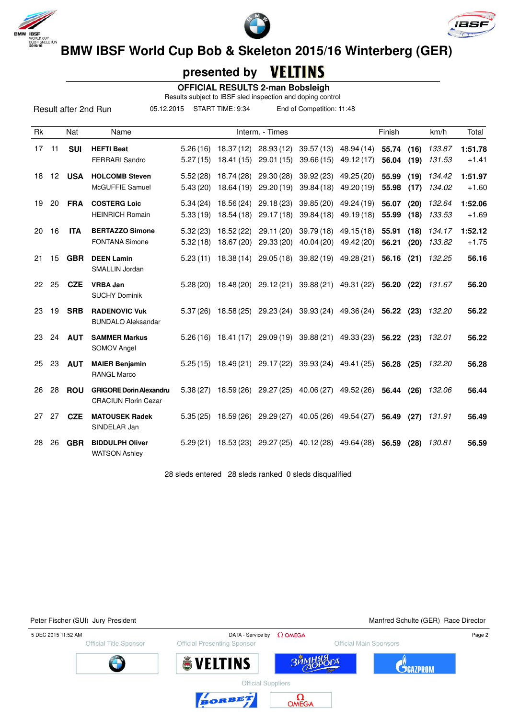





**BMW IBSF WORLD BOB & Skeleton 2015/16 Winterberg (GER)** 

# **presented by**

 **OFFICIAL RESULTS 2-man Bobsleigh**

Results subject to IBSF sled inspection and doping control

Result after 2nd Run

05.12.2015 START TIME: 9:34 End of Competition: 11:48

| <b>Rk</b> |     | Nat        | Name                                                          |                      |                          | Interm. - Times          |                                                                  |                          | Finish         |              | km/h             | Total              |
|-----------|-----|------------|---------------------------------------------------------------|----------------------|--------------------------|--------------------------|------------------------------------------------------------------|--------------------------|----------------|--------------|------------------|--------------------|
| 17        | 11  | <b>SUI</b> | <b>HEFTI Beat</b><br><b>FERRARI Sandro</b>                    | 5.26(16)<br>5.27(15) | 18.37 (12)<br>18.41 (15) | 28.93 (12)<br>29.01(15)  | 39.57 (13)<br>39.66(15)                                          | 48.94 (14)<br>49.12 (17) | 55.74<br>56.04 | (16)<br>(19) | 133.87<br>131.53 | 1:51.78<br>$+1.41$ |
| 18        | 12  | <b>USA</b> | <b>HOLCOMB Steven</b><br>McGUFFIE Samuel                      | 5.52(28)<br>5.43(20) | 18.74 (28)<br>18.64 (19) | 29.30 (28)<br>29.20 (19) | 39.92 (23)<br>39.84 (18)                                         | 49.25 (20)<br>49.20 (19) | 55.99<br>55.98 | (19)<br>(17) | 134.42<br>134.02 | 1:51.97<br>$+1.60$ |
| 19        | 20  | <b>FRA</b> | <b>COSTERG Loic</b><br><b>HEINRICH Romain</b>                 | 5.34(24)<br>5.33(19) | 18.56 (24)<br>18.54 (18) | 29.18(23)<br>29.17(18)   | 39.85 (20)<br>39.84(18)                                          | 49.24 (19)<br>49.19 (18) | 56.07<br>55.99 | (20)<br>(18) | 132.64<br>133.53 | 1:52.06<br>$+1.69$ |
| 20        | 16  | <b>ITA</b> | <b>BERTAZZO Simone</b><br><b>FONTANA Simone</b>               | 5.32(23)<br>5.32(18) | 18.52 (22)<br>18.67 (20) | 29.11 (20)<br>29.33 (20) | 39.79 (18)<br>40.04 (20)                                         | 49.15 (18)<br>49.42 (20) | 55.91<br>56.21 | (18)<br>(20) | 134.17<br>133.82 | 1:52.12<br>$+1.75$ |
| 21        | 15  | <b>GBR</b> | <b>DEEN Lamin</b><br><b>SMALLIN Jordan</b>                    | 5.23(11)             |                          |                          | 18.38 (14) 29.05 (18) 39.82 (19) 49.28 (21)                      |                          | 56.16          | (21)         | 132.25           | 56.16              |
| 22        | 25  | <b>CZE</b> | <b>VRBA Jan</b><br><b>SUCHY Dominik</b>                       |                      |                          |                          | 5.28 (20) 18.48 (20) 29.12 (21) 39.88 (21) 49.31 (22) 56.20 (22) |                          |                |              | 131.67           | 56.20              |
| 23        | 19  | <b>SRB</b> | <b>RADENOVIC Vuk</b><br><b>BUNDALO Aleksandar</b>             | 5.37(26)             |                          |                          | 18.58 (25) 29.23 (24) 39.93 (24) 49.36 (24) 56.22 (23)           |                          |                |              | 132.20           | 56.22              |
| 23        | 24  | <b>AUT</b> | <b>SAMMER Markus</b><br><b>SOMOV Angel</b>                    |                      | $5.26(16)$ 18.41(17)     |                          | 29.09 (19) 39.88 (21) 49.33 (23)                                 |                          | 56.22 (23)     |              | 132.01           | 56.22              |
| 25        | 23  | <b>AUT</b> | <b>MAIER Benjamin</b><br><b>RANGL Marco</b>                   |                      |                          |                          | 5.25 (15) 18.49 (21) 29.17 (22) 39.93 (24) 49.41 (25)            |                          | 56.28          | (25)         | 132.20           | 56.28              |
| 26        | -28 | <b>ROU</b> | <b>GRIGORE Dorin Alexandru</b><br><b>CRACIUN Florin Cezar</b> | 5.38(27)             |                          |                          | 18.59 (26) 29.27 (25) 40.06 (27) 49.52 (26)                      |                          | 56.44          | (26)         | 132.06           | 56.44              |
| 27        | 27  | <b>CZE</b> | <b>MATOUSEK Radek</b><br>SINDELAR Jan                         | 5.35(25)             | 18.59 (26)               |                          | 29.29 (27) 40.05 (26)                                            | 49.54 (27)               | 56.49          | (27)         | 131.91           | 56.49              |
| 28        | 26  | <b>GBR</b> | <b>BIDDULPH Oliver</b><br><b>WATSON Ashley</b>                | 5.29(21)             | 18.53 (23)               |                          | 29.27 (25) 40.12 (28)                                            | 49.64 (28)               | 56.59          | (28)         | 130.81           | 56.59              |

28 sleds entered 28 sleds ranked 0 sleds disqualified

| <b>Official Main Sponsors</b><br><b>Official Presenting Sponsor</b><br><b>Official Title Sponsor</b><br>ЗЙМНЯЯ<br><b>SVELTINS</b><br><b>JCA7PROM</b> | Page 2 |  | DATA - Service by $\Omega$ OMEGA | 5 DEC 2015 11:52 AM |
|------------------------------------------------------------------------------------------------------------------------------------------------------|--------|--|----------------------------------|---------------------|
|                                                                                                                                                      |        |  |                                  |                     |
|                                                                                                                                                      |        |  |                                  |                     |
| <b>Official Suppliers</b>                                                                                                                            |        |  |                                  |                     |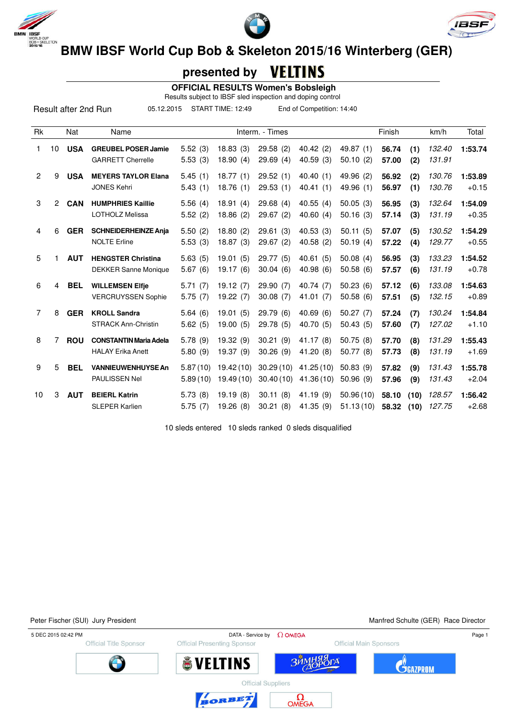





VELTINS  **presented by**

 **OFFICIAL RESULTS Women's Bobsleigh**

Results subject to IBSF sled inspection and doping control

Result after 2nd Run

05.12.2015 START TIME: 12:49 End of Competition: 14:40

| Rk             |                | Nat        | Name                                                      |                      |                        | Interm. - Times        |                         |                        | Finish         |              | km/h             | Total              |
|----------------|----------------|------------|-----------------------------------------------------------|----------------------|------------------------|------------------------|-------------------------|------------------------|----------------|--------------|------------------|--------------------|
| 1.             | 10             | <b>USA</b> | <b>GREUBEL POSER Jamie</b><br><b>GARRETT Cherrelle</b>    | 5.52(3)<br>5.53(3)   | 18.83(3)<br>18.90(4)   | 29.58(2)<br>29.69(4)   | 40.42(2)<br>40.59(3)    | 49.87 (1)<br>50.10(2)  | 56.74<br>57.00 | (1)<br>(2)   | 132.40<br>131.91 | 1:53.74            |
| $\overline{2}$ | 9              | <b>USA</b> | <b>MEYERS TAYLOR Elana</b><br><b>JONES Kehri</b>          | 5.45(1)<br>5.43(1)   | 18.77(1)<br>18.76(1)   | 29.52(1)<br>29.53(1)   | 40.40(1)<br>40.41(1)    | 49.96 (2)<br>49.96 (1) | 56.92<br>56.97 | (2)<br>(1)   | 130.76<br>130.76 | 1:53.89<br>$+0.15$ |
| 3              | $\overline{2}$ | <b>CAN</b> | <b>HUMPHRIES Kaillie</b><br><b>LOTHOLZ Melissa</b>        | 5.56(4)<br>5.52(2)   | 18.91(4)<br>18.86(2)   | 29.68(4)<br>29.67(2)   | 40.55(4)<br>40.60(4)    | 50.05(3)<br>50.16(3)   | 56.95<br>57.14 | (3)<br>(3)   | 132.64<br>131.19 | 1:54.09<br>$+0.35$ |
| 4              | 6              | <b>GER</b> | <b>SCHNEIDERHEINZE Anja</b><br><b>NOLTE Erline</b>        | 5.50(2)<br>5.53(3)   | 18.80(2)<br>18.87(3)   | 29.61(3)<br>29.67(2)   | 40.53(3)<br>40.58(2)    | 50.11(5)<br>50.19(4)   | 57.07<br>57.22 | (5)<br>(4)   | 130.52<br>129.77 | 1:54.29<br>$+0.55$ |
| 5              | 1              | <b>AUT</b> | <b>HENGSTER Christina</b><br><b>DEKKER Sanne Monique</b>  | 5.63(5)<br>5.67(6)   | 19.01(5)<br>19.17(6)   | 29.77 (5)<br>30.04(6)  | 40.61(5)<br>40.98(6)    | 50.08(4)<br>50.58(6)   | 56.95<br>57.57 | (3)<br>(6)   | 133.23<br>131.19 | 1:54.52<br>$+0.78$ |
| 6              | 4              | <b>BEL</b> | <b>WILLEMSEN Elfje</b><br><b>VERCRUYSSEN Sophie</b>       | 5.71(7)<br>5.75(7)   | 19.12(7)<br>19.22(7)   | 29.90 (7)<br>30.08(7)  | 40.74(7)<br>41.01 (7)   | 50.23(6)<br>50.58(6)   | 57.12<br>57.51 | (6)<br>(5)   | 133.08<br>132.15 | 1:54.63<br>$+0.89$ |
| 7              | 8              | <b>GER</b> | <b>KROLL Sandra</b><br><b>STRACK Ann-Christin</b>         | 5.64(6)<br>5.62(5)   | 19.01(5)<br>19.00(5)   | 29.79 (6)<br>29.78 (5) | 40.69(6)<br>40.70 (5)   | 50.27(7)<br>50.43(5)   | 57.24<br>57.60 | (7)<br>(7)   | 130.24<br>127.02 | 1:54.84<br>$+1.10$ |
| 8              | 7              | <b>ROU</b> | <b>CONSTANTIN Maria Adela</b><br><b>HALAY Erika Anett</b> | 5.78(9)<br>5.80(9)   | 19.32(9)<br>19.37(9)   | 30.21(9)<br>30.26(9)   | 41.17(8)<br>41.20(8)    | 50.75(8)<br>50.77(8)   | 57.70<br>57.73 | (8)<br>(8)   | 131.29<br>131.19 | 1:55.43<br>$+1.69$ |
| 9              | 5              | <b>BEL</b> | <b>VANNIEUWENHUYSE An</b><br>PAULISSEN Nel                | 5.87(10)<br>5.89(10) | 19.42(10)<br>19.49(10) | 30.29(10)<br>30.40(10) | 41.25(10)<br>41.36 (10) | 50.83(9)<br>50.96(9)   | 57.82<br>57.96 | (9)<br>(9)   | 131.43<br>131.43 | 1:55.78<br>$+2.04$ |
| 10             | 3              | <b>AUT</b> | <b>BEIERL Katrin</b><br><b>SLEPER Karlien</b>             | 5.73(8)<br>5.75(7)   | 19.19(8)<br>19.26(8)   | 30.11(8)<br>30.21(8)   | 41.19(9)<br>41.35 (9)   | 50.96(10)<br>51.13(10) | 58.10<br>58.32 | (10)<br>(10) | 128.57<br>127.75 | 1:56.42<br>$+2.68$ |

10 sleds entered 10 sleds ranked 0 sleds disqualified

Peter Fischer (SUI) Jury President Manfred Schulte (GER) Race Director

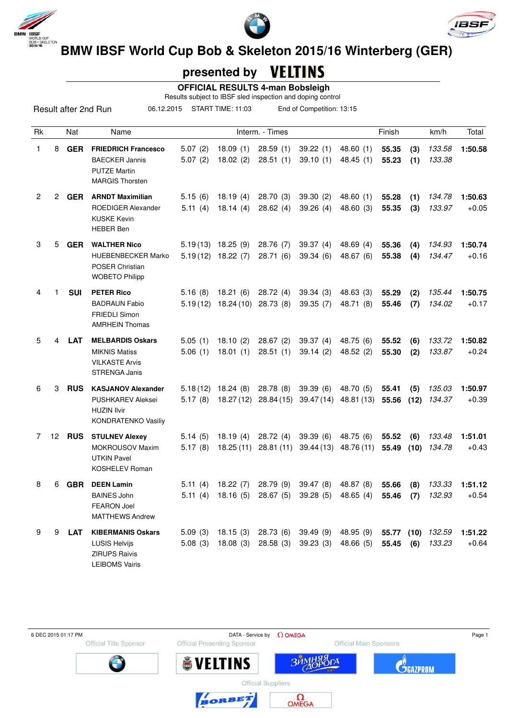





## **presented by**

 **OFFICIAL RESULTS 4-man Bobsleigh**

Results subject to IBSF sled inspection and doping control

Result after 2nd Run

06.12.2015 START TIME: 11:03 End of Competition: 13:15

| Rk             |        | Nat        | Name                                                                                                      |                     |                                   | Interm. - Times         |                        |                          | Finish         |             | km/h             | Total              |
|----------------|--------|------------|-----------------------------------------------------------------------------------------------------------|---------------------|-----------------------------------|-------------------------|------------------------|--------------------------|----------------|-------------|------------------|--------------------|
| 1              | 8      | <b>GER</b> | <b>FRIEDRICH Francesco</b><br><b>BAECKER Jannis</b><br><b>PUTZE Martin</b><br><b>MARGIS Thorsten</b>      | 5.07(2)<br>5.07(2)  | 18.09(1)<br>18.02(2)              | 28.59(1)<br>28.51(1)    | 39.22(1)<br>39.10(1)   | 48.60(1)<br>48.45 (1)    | 55.35<br>55.23 | (3)<br>(1)  | 133.58<br>133.38 | 1:50.58            |
| $\overline{2}$ | $^{2}$ | <b>GER</b> | <b>ARNDT Maximilian</b><br>ROEDIGER Alexander<br><b>KUSKE Kevin</b><br><b>HEBER Ben</b>                   | 5.15(6)<br>5.11(4)  | 18.19(4)<br>18.14(4)              | 28.70(3)<br>28.62(4)    | 39.30(2)<br>39.26(4)   | 48.60(1)<br>48.60 (3)    | 55.28<br>55.35 | (1)<br>(3)  | 134.78<br>133.97 | 1:50.63<br>$+0.05$ |
| 3              | 5      | <b>GER</b> | <b>WALTHER Nico</b><br><b>HUEBENBECKER Marko</b><br>POSER Christian<br><b>WOBETO Philipp</b>              | 5.19(12)            | $5.19(13)$ 18.25 (9)<br>18.22 (7) | 28.76 (7)<br>28.71(6)   | 39.37(4)<br>39.34(6)   | 48.69 $(4)$<br>48.67 (6) | 55.36<br>55.38 | (4)<br>(4)  | 134.93<br>134.47 | 1:50.74<br>$+0.16$ |
| 4              |        | <b>SUI</b> | <b>PETER Rico</b><br><b>BADRAUN Fabio</b><br><b>FRIEDLI Simon</b><br><b>AMRHEIN Thomas</b>                | 5.16(8)<br>5.19(12) | 18.21 (6)<br>18.24 (10) 28.73 (8) | 28.72(4)                | 39.34(3)<br>39.35(7)   | 48.63(3)<br>48.71 (8)    | 55.29<br>55.46 | (2)<br>(7)  | 135.44<br>134.02 | 1:50.75<br>$+0.17$ |
| 5              | 4      | <b>LAT</b> | <b>MELBARDIS Oskars</b><br><b>MIKNIS Matiss</b><br><b>VILKASTE Arvis</b><br><b>STRENGA Janis</b>          | 5.05(1)<br>5.06(1)  | 18.10(2)<br>18.01(1)              | 28.67(2)<br>28.51(1)    | 39.37(4)<br>39.14(2)   | 48.75 (6)<br>48.52 (2)   | 55.52<br>55.30 | (6)<br>(2)  | 133.72<br>133.87 | 1:50.82<br>$+0.24$ |
| 6              | 3      | <b>RUS</b> | <b>KASJANOV Alexander</b><br><b>PUSHKAREV Aleksei</b><br><b>HUZIN Ilvir</b><br><b>KONDRATENKO Vasiliy</b> | 5.18(12)<br>5.17(8) | 18.24(8)<br>18.27 (12)            | 28.78 (8)<br>28.84 (15) | 39.39(6)<br>39.47 (14) | 48.70 (5)<br>48.81 (13)  | 55.41<br>55.56 | (5)<br>(12) | 135.03<br>134.37 | 1:50.97<br>$+0.39$ |
| 7              | 12     | <b>RUS</b> | <b>STULNEV Alexey</b><br><b>MOKROUSOV Maxim</b><br><b>UTKIN Pavel</b><br><b>KOSHELEV Roman</b>            | 5.14(5)<br>5.17(8)  | 18.19(4)<br>18.25(11)             | 28.72(4)<br>28.81(11)   | 39.39(6)<br>39.44 (13) | 48.75 (6)<br>48.76 (11)  | 55.52<br>55.49 | (6)<br>(10) | 133.48<br>134.78 | 1:51.01<br>$+0.43$ |
| 8              | 6      | <b>GBR</b> | <b>DEEN Lamin</b><br><b>BAINES John</b><br><b>FEARON Joel</b><br><b>MATTHEWS Andrew</b>                   | 5.11(4)<br>5.11(4)  | 18.22(7)<br>18.16(5)              | 28.79(9)<br>28.67(5)    | 39.47(8)<br>39.28(5)   | 48.87 (8)<br>48.65 (4)   | 55.66<br>55.46 | (8)<br>(7)  | 133.33<br>132.93 | 1:51.12<br>$+0.54$ |
| 9              | 9      | LAT        | <b>KIBERMANIS Oskars</b><br><b>LUSIS Helvijs</b><br><b>ZIRUPS Raivis</b><br><b>LEIBOMS Vairis</b>         | 5.09(3)<br>5.08(3)  | 18.15(3)<br>18.08(3)              | 28.73 (6)<br>28.58(3)   | 39.49 (9)<br>39.23(3)  | 48.95 (9)<br>48.66 (5)   | 55.77<br>55.45 | (10)<br>(6) | 132.59<br>133.23 | 1:51.22<br>$+0.64$ |

Official Title Sponsor



Official Main Sponsors

 $\sqrt{2}$ 



**Official Suppliers** 



**SVELTINS** 



**ЗЙМ** 

**C**GAZPROM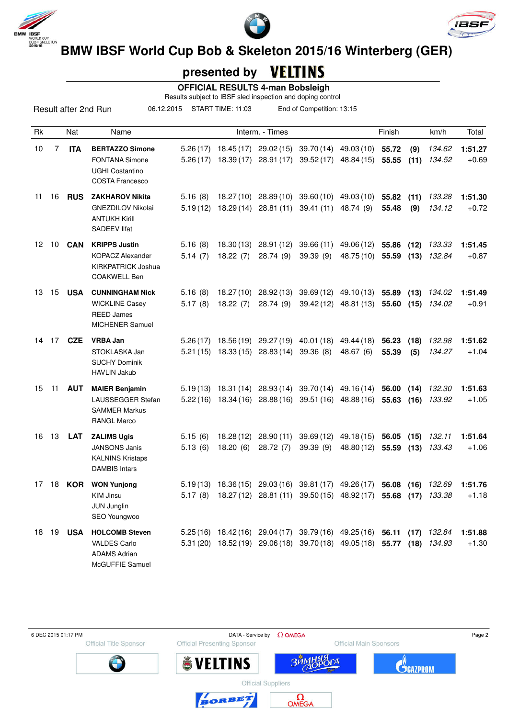





## **presented by**

 **OFFICIAL RESULTS 4-man Bobsleigh**

Results subject to IBSF sled inspection and doping control

Result after 2nd Run 06.12.2015 START TIME: 11:03 End of Competition: 13:15

| Rk |    | Nat        | Name                                                                                                |                      |                        | Interm. - Times                                |                                                                                                            |                                                | Finish         |              | km/h             | Total              |
|----|----|------------|-----------------------------------------------------------------------------------------------------|----------------------|------------------------|------------------------------------------------|------------------------------------------------------------------------------------------------------------|------------------------------------------------|----------------|--------------|------------------|--------------------|
| 10 | 7  | <b>ITA</b> | <b>BERTAZZO Simone</b><br><b>FONTANA Simone</b><br><b>UGHI Costantino</b><br><b>COSTA Francesco</b> | 5.26(17)             |                        |                                                | 18.45 (17) 29.02 (15) 39.70 (14) 49.03 (10)<br>5.26 (17) 18.39 (17) 28.91 (17) 39.52 (17) 48.84 (15) 55.55 |                                                | 55.72          | (9)<br>(11)  | 134.62<br>134.52 | 1:51.27<br>$+0.69$ |
| 11 | 16 | <b>RUS</b> | <b>ZAKHAROV Nikita</b><br><b>GNEZDILOV Nikolai</b><br><b>ANTUKH Kirill</b><br>SADEEV IIfat          | 5.16(8)<br>5.19(12)  |                        |                                                | 18.27 (10) 28.89 (10) 39.60 (10) 49.03 (10)<br>18.29 (14) 28.81 (11) 39.41 (11) 48.74 (9)                  |                                                | 55.82<br>55.48 | (11)<br>(9)  | 133.28<br>134.12 | 1:51.30<br>$+0.72$ |
| 12 | 10 | <b>CAN</b> | <b>KRIPPS Justin</b><br><b>KOPACZ Alexander</b><br><b>KIRKPATRICK Joshua</b><br><b>COAKWELL Ben</b> | 5.16(8)<br>5.14(7)   | 18.22(7)               | 18.30 (13) 28.91 (12)<br>28.74(9)              | 39.66 (11)<br>39.39(9)                                                                                     | 49.06 (12)<br>48.75 (10) 55.59                 | 55.86          | (12)<br>(13) | 133.33<br>132.84 | 1:51.45<br>$+0.87$ |
| 13 | 15 | <b>USA</b> | <b>CUNNINGHAM Nick</b><br><b>WICKLINE Casey</b><br><b>REED James</b><br><b>MICHENER Samuel</b>      | 5.16(8)<br>5.17(8)   | 18.22(7)               | 18.27 (10) 28.92 (13)<br>28.74(9)              | 39.69 (12)                                                                                                 | 49.10 (13)<br>39.42 (12) 48.81 (13) 55.60      | 55.89          | (13)<br>(15) | 134.02<br>134.02 | 1:51.49<br>$+0.91$ |
| 14 | 17 | <b>CZE</b> | <b>VRBA Jan</b><br>STOKLASKA Jan<br><b>SUCHY Dominik</b><br><b>HAVLIN Jakub</b>                     | 5.26(17)             |                        | 5.21 (15) 18.33 (15) 28.83 (14) 39.36 (8)      | 18.56 (19) 29.27 (19) 40.01 (18)                                                                           | 49.44 (18)<br>48.67 (6)                        | 56.23<br>55.39 | (18)<br>(5)  | 132.98<br>134.27 | 1:51.62<br>$+1.04$ |
| 15 | 11 | <b>AUT</b> | <b>MAIER Benjamin</b><br>LAUSSEGGER Stefan<br><b>SAMMER Markus</b><br><b>RANGL Marco</b>            | 5.19(13)             |                        |                                                | 18.31 (14) 28.93 (14) 39.70 (14) 49.16 (14)<br>$5.22(16)$ 18.34 (16) 28.88 (16) 39.51 (16) 48.88 (16)      |                                                | 56.00<br>55.63 | (14)<br>(16) | 132.30<br>133.92 | 1:51.63<br>$+1.05$ |
| 16 | 13 | LAT        | <b>ZALIMS Ugis</b><br><b>JANSONS Janis</b><br><b>KALNINS Kristaps</b><br><b>DAMBIS Intars</b>       | 5.15(6)<br>5.13(6)   | 18.28 (12)<br>18.20(6) | 28.90 (11)<br>28.72(7)                         | 39.69 (12)<br>39.39(9)                                                                                     | 49.18 (15)<br>48.80 (12)                       | 56.05<br>55.59 | (15)<br>(13) | 132.11<br>133.43 | 1:51.64<br>$+1.06$ |
| 17 | 18 | <b>KOR</b> | <b>WON Yunjong</b><br><b>KIM Jinsu</b><br><b>JUN Junglin</b><br>SEO Youngwoo                        | 5.19(13)<br>5.17(8)  |                        |                                                | 18.36 (15) 29.03 (16) 39.81 (17) 49.26 (17)<br>18.27 (12) 28.81 (11) 39.50 (15) 48.92 (17)                 |                                                | 56.08<br>55.68 | (16)<br>(17) | 132.69<br>133.38 | 1:51.76<br>$+1.18$ |
| 18 | 19 | <b>USA</b> | <b>HOLCOMB Steven</b><br><b>VALDES Carlo</b><br><b>ADAMS Adrian</b><br>McGUFFIE Samuel              | 5.25(16)<br>5.31(20) |                        | 18.42 (16) 29.04 (17)<br>18.52 (19) 29.06 (18) |                                                                                                            | 39.79 (16) 49.25 (16)<br>39.70 (18) 49.05 (18) | 56.11<br>55.77 | (17)<br>(18) | 132.84<br>134.93 | 1:51.88<br>$+1.30$ |

Official Title Sponsor



Official Main Sponsors

 $\sqrt{2}$ 







BORBET



**ЗЙМ** 

 $\Omega_{\text{OMEG}}$ 

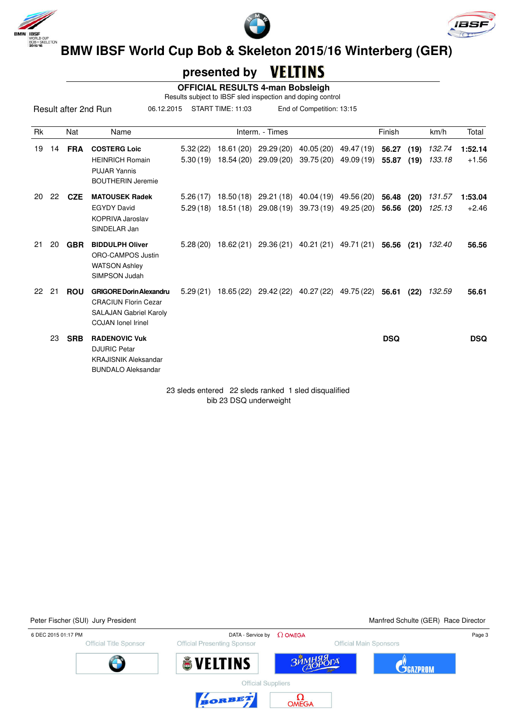

Result after 2nd Run





**BMW IBSF World Cup Bob & Skeleton 2015/16 Winterberg (GER)**<br>BMW IBSF World Cup Bob & Skeleton 2015/16 Winterberg (GER)

#### VELTINS  **presented by**

 **OFFICIAL RESULTS 4-man Bobsleigh**

Results subject to IBSF sled inspection and doping control 06.12.2015 START TIME: 11:03 End of Competition: 13:15

| <b>Rk</b> |    | <b>Nat</b> | Name                                                                                                                        |                      | Interm. - Times                                                                                      |                                                            | Finish         |              | km/h             | Total              |
|-----------|----|------------|-----------------------------------------------------------------------------------------------------------------------------|----------------------|------------------------------------------------------------------------------------------------------|------------------------------------------------------------|----------------|--------------|------------------|--------------------|
| 19        | 14 | <b>FRA</b> | <b>COSTERG Loic</b><br><b>HEINRICH Romain</b><br><b>PUJAR Yannis</b><br><b>BOUTHERIN Jeremie</b>                            | 5.32(22)<br>5.30(19) | 18.61 (20) 29.29 (20)<br>18.54 (20) 29.09 (20)                                                       | 40.05 (20) 49.47 (19) 56.27<br>39.75 (20) 49.09 (19) 55.87 |                | (19)<br>(19) | 132.74<br>133.18 | 1:52.14<br>$+1.56$ |
| 20        | 22 | <b>CZE</b> | <b>MATOUSEK Radek</b><br><b>EGYDY David</b><br>KOPRIVA Jaroslav<br>SINDELAR Jan                                             | 5.26(17)             | 18.50 (18) 29.21 (18) 40.04 (19) 49.56 (20)<br>5.29 (18) 18.51 (18) 29.08 (19) 39.73 (19) 49.25 (20) |                                                            | 56.48<br>56.56 | (20)<br>(20) | 131.57<br>125.13 | 1:53.04<br>$+2.46$ |
| 21        | 20 | <b>GBR</b> | <b>BIDDULPH Oliver</b><br>ORO-CAMPOS Justin<br><b>WATSON Ashley</b><br>SIMPSON Judah                                        |                      | $5.28(20)$ 18.62(21) 29.36(21) 40.21(21) 49.71(21) 56.56                                             |                                                            |                | (21)         | 132.40           | 56.56              |
| 22        | 21 | <b>ROU</b> | <b>GRIGORE Dorin Alexandru</b><br><b>CRACIUN Florin Cezar</b><br><b>SALAJAN Gabriel Karoly</b><br><b>COJAN</b> lonel Irinel |                      | $5.29(21)$ $18.65(22)$ $29.42(22)$ $40.27(22)$ $49.75(22)$ <b>56.61</b>                              |                                                            |                | (22)         | 132.59           | 56.61              |
|           | 23 | <b>SRB</b> | <b>RADENOVIC Vuk</b><br><b>DJURIC Petar</b><br><b>KRAJISNIK Aleksandar</b><br><b>BUNDALO Aleksandar</b>                     |                      |                                                                                                      |                                                            | <b>DSQ</b>     |              |                  | <b>DSQ</b>         |

23 sleds entered 22 sleds ranked 1 sled disqualified bib 23 DSQ underweight

Peter Fischer (SUI) Jury President Manfred Schulte (GER) Race Director

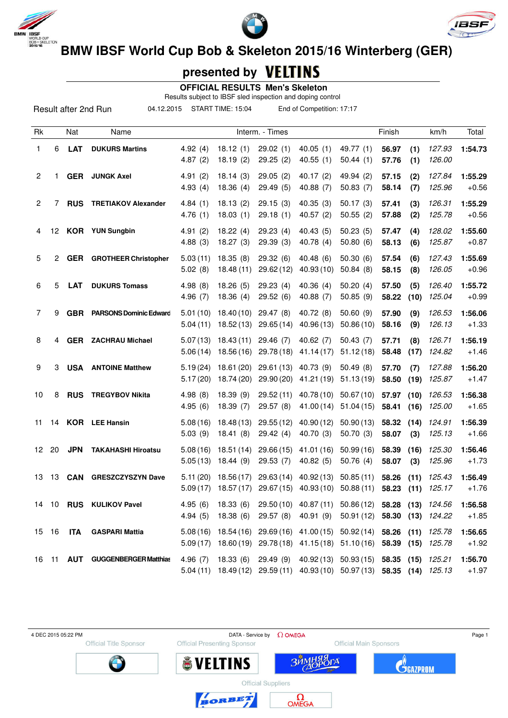





**BMW IBSF World Cup Bob & Skeleton 2015/16 Winterberg (GER)** 

## **presented by**

 **OFFICIAL RESULTS Men's Skeleton**

Results subject to IBSF sled inspection and doping control

Result after 2nd Run

04.12.2015 START TIME: 15:04 End of Competition: 17:17

| Rk           |    | Nat        | Name                          |                      |                          | Interm. - Times          |                          |                          | Finish         |              | km/h             | Total              |
|--------------|----|------------|-------------------------------|----------------------|--------------------------|--------------------------|--------------------------|--------------------------|----------------|--------------|------------------|--------------------|
| $\mathbf{1}$ | 6  | LAT        | <b>DUKURS Martins</b>         | 4.92(4)<br>4.87(2)   | 18.12(1)<br>18.19 (2)    | 29.02(1)<br>29.25(2)     | 40.05(1)<br>40.55 (1)    | 49.77 (1)<br>50.44(1)    | 56.97<br>57.76 | (1)<br>(1)   | 127.93<br>126.00 | 1:54.73            |
| 2            | 1  |            | <b>GER</b> JUNGK Axel         | 4.91(2)<br>4.93(4)   | 18.14(3)<br>18.36 (4)    | 29.05(2)<br>29.49(5)     | 40.17 (2)<br>40.88 (7)   | 49.94 (2)<br>50.83(7)    | 57.15<br>58.14 | (2)<br>(7)   | 127.84<br>125.96 | 1:55.29<br>$+0.56$ |
| 2            | 7  | <b>RUS</b> | <b>TRETIAKOV Alexander</b>    | 4.84(1)<br>4.76(1)   | 18.13(2)<br>18.03(1)     | 29.15(3)<br>29.18(1)     | 40.35 (3)<br>40.57 (2)   | 50.17(3)<br>50.55(2)     | 57.41<br>57.88 | (3)<br>(2)   | 126.31<br>125.78 | 1:55.29<br>$+0.56$ |
| 4            | 12 |            | <b>KOR</b> YUN Sungbin        | 4.91(2)<br>4.88(3)   | 18.22(4)<br>18.27(3)     | 29.23(4)<br>29.39(3)     | 40.43 (5)<br>40.78 (4)   | 50.23(5)<br>50.80(6)     | 57.47<br>58.13 | (4)<br>(6)   | 128.02<br>125.87 | 1:55.60<br>$+0.87$ |
| 5            | 2  | <b>GER</b> | <b>GROTHEER Christopher</b>   | 5.03(11)<br>5.02(8)  | 18.35(8)<br>18.48(11)    | 29.32 (6)<br>29.62 (12)  | 40.48 (6)<br>40.93 (10)  | 50.30 (6)<br>50.84(8)    | 57.54<br>58.15 | (6)<br>(8)   | 127.43<br>126.05 | 1:55.69<br>$+0.96$ |
| 6            | 5  | <b>LAT</b> | <b>DUKURS Tomass</b>          | 4.98(8)<br>4.96(7)   | 18.26(5)<br>18.36(4)     | 29.23 (4)<br>29.52(6)    | 40.36 (4)<br>40.88 (7)   | 50.20(4)<br>50.85 (9)    | 57.50<br>58.22 | (5)<br>(10)  | 126.40<br>125.04 | 1:55.72<br>$+0.99$ |
| 7            | 9  | <b>GBR</b> | <b>PARSONS Dominic Edward</b> | 5.01(10)<br>5.04(11) | 18.40(10)<br>18.52(13)   | 29.47(8)<br>29.65 (14)   | 40.72 (8)<br>40.96 (13)  | 50.60 (9)<br>50.86(10)   | 57.90<br>58.16 | (9)<br>(9)   | 126.53<br>126.13 | 1:56.06<br>$+1.33$ |
| 8            | 4  |            | <b>GER</b> ZACHRAU Michael    | 5.07(13)<br>5.06(14) | 18.43(11)<br>18.56 (16)  | 29.46 (7)<br>29.78 (18)  | 40.62 (7)<br>41.14 (17)  | 50.43 (7)<br>51.12 (18)  | 57.71<br>58.48 | (8)<br>(17)  | 126.71<br>124.82 | 1:56.19<br>$+1.46$ |
| 9            | 3  | <b>USA</b> | <b>ANTOINE Matthew</b>        | 5.19(24)<br>5.17(20) | 18.61 (20)<br>18.74 (20) | 29.61 (13)<br>29.90 (20) | 40.73 (9)<br>41.21 (19)  | 50.49(8)<br>51.13(19)    | 57.70<br>58.50 | (7)<br>(19)  | 127.88<br>125.87 | 1:56.20<br>$+1.47$ |
| 10           | 8  | <b>RUS</b> | <b>TREGYBOV Nikita</b>        | 4.98(8)<br>4.95(6)   | 18.39(9)<br>18.39(7)     | 29.52 (11)<br>29.57(8)   | 40.78 (10)<br>41.00 (14) | 50.67 (10)<br>51.04(15)  | 57.97<br>58.41 | (10)<br>(16) | 126.53<br>125.00 | 1:56.38<br>$+1.65$ |
| 11           |    |            | 14 KOR LEE Hansin             | 5.08(16)<br>5.03(9)  | 18.48 (13)<br>18.41(8)   | 29.55(12)<br>29.42 (4)   | 40.90 (12)<br>40.70 (3)  | 50.90 (13)<br>50.70 (3)  | 58.32<br>58.07 | (14)<br>(3)  | 124.91<br>125.13 | 1:56.39<br>$+1.66$ |
| 12           | 20 | <b>JPN</b> | <b>TAKAHASHI Hiroatsu</b>     | 5.08(16)<br>5.05(13) | 18.51 (14)<br>18.44(9)   | 29.66 (15)<br>29.53(7)   | 41.01 (16)<br>40.82(5)   | 50.99 (16)<br>50.76 (4)  | 58.39<br>58.07 | (16)<br>(3)  | 125.30<br>125.96 | 1:56.46<br>$+1.73$ |
| 13           | 13 | CAN        | <b>GRESZCZYSZYN Dave</b>      | 5.11(20)<br>5.09(17) | 18.56 (17)<br>18.57 (17) | 29.63 (14)<br>29.67 (15) | 40.92 (13)<br>40.93 (10) | 50.85 (11)<br>50.88(11)  | 58.26<br>58.23 | (11)<br>(11) | 125.43<br>125.17 | 1:56.49<br>$+1.76$ |
| 14           | 10 | <b>RUS</b> | <b>KULIKOV Pavel</b>          | 4.95(6)<br>4.94(5)   | 18.33(6)<br>18.38(6)     | 29.50 (10)<br>29.57 (8)  | 40.87 (11)<br>40.91 (9)  | 50.86 (12)<br>50.91 (12) | 58.28<br>58.30 | (13)<br>(13) | 124.56<br>124.22 | 1:56.58<br>$+1.85$ |
| 15           | 16 | <b>ITA</b> | <b>GASPARI Mattia</b>         | 5.08(16)<br>5.09(17) | 18.54 (16)<br>18.60 (19) | 29.69 (16)<br>29.78 (18) | 41.00 (15)<br>41.15 (18) | 50.92(14)<br>51.10(16)   | 58.26<br>58.39 | (11)<br>(15) | 125.78<br>125.78 | 1:56.65<br>$+1.92$ |
| 16           | 11 | <b>AUT</b> | <b>GUGGENBERGER Matthias</b>  | 4.96(7)<br>5.04(11)  | 18.33(6)<br>18.49(12)    | 29.49 (9)<br>29.59(11)   | 40.92 (13)<br>40.93 (10) | 50.93(15)<br>50.97(13)   | 58.35<br>58.35 | (15)<br>(14) | 125.21<br>125.13 | 1:56.70<br>$+1.97$ |

4 DEC 2015 05:22 PM  $\Box$  Page 1 **Official Presenting Sponsor** Official Title Sponsor Official Main Sponsors **C**GAZPROM **SVELTINS ЗЙ**  $1\sigma$ **Official Suppliers** 



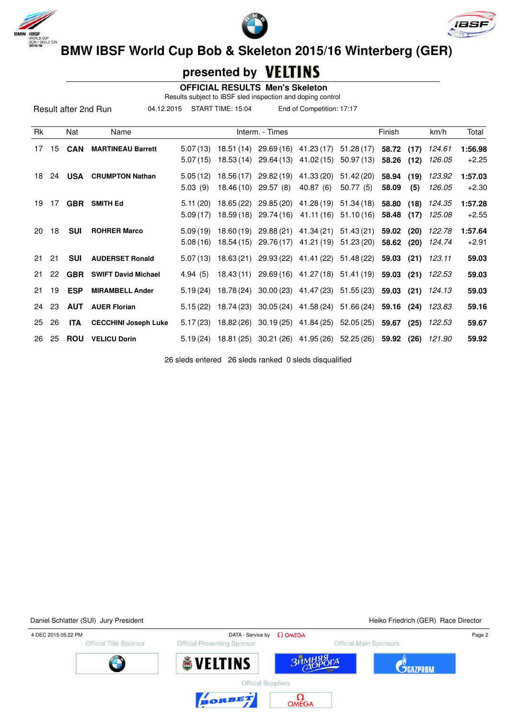





### **presented by**

|    |    |            |                                    | Results subject to IBSF sled inspection and doping control | <b>OFFICIAL RESULTS Men's Skeleton</b>                           |                 |                                             |                       |            |      |                          |         |
|----|----|------------|------------------------------------|------------------------------------------------------------|------------------------------------------------------------------|-----------------|---------------------------------------------|-----------------------|------------|------|--------------------------|---------|
|    |    |            | Result after 2nd Run<br>04.12.2015 |                                                            | START TIME: 15:04                                                |                 | End of Competition: 17:17                   |                       |            |      |                          |         |
| Rk |    | Nat        | Name                               |                                                            |                                                                  | Interm. - Times |                                             |                       | Finish     |      | km/h                     | Total   |
| 17 | 15 | <b>CAN</b> | <b>MARTINEAU Barrett</b>           |                                                            | $5.07(13)$ 18.51 (14) 29.69 (16) 41.23 (17)                      |                 |                                             | 51.28(17)             | 58.72 (17) |      | 124.61                   | 1:56.98 |
|    |    |            |                                    |                                                            | $5.07(15)$ 18.53 (14) 29.64 (13)                                 |                 | 41.02 (15)                                  | 50.97 (13)            | 58.26      | (12) | 126.05                   | $+2.25$ |
| 18 | 24 |            | <b>USA</b> CRUMPTON Nathan         |                                                            | $5.05(12)$ 18.56 (17)                                            |                 | 29.82 (19) 41.33 (20)                       | 51.42 (20)            | 58.94      | (19) | 123.92                   | 1:57.03 |
|    |    |            |                                    | 5.03(9)                                                    | 18.46 (10)                                                       | 29.57 (8)       | 40.87(6)                                    | 50.77(5)              | 58.09      | (5)  | 126.05                   | $+2.30$ |
| 19 | 17 |            | <b>GBR SMITH Ed</b>                |                                                            | $5.11(20)$ 18.65 (22)                                            |                 | 29.85 (20) 41.28 (19) 51.34 (18)            |                       | 58.80 (18) |      | 124.35                   | 1:57.28 |
|    |    |            |                                    | 5.09(17)                                                   | 18.59 (18)                                                       |                 | 29.74 (16) 41.11 (16) 51.10 (16)            |                       | 58.48      | (17) | 125.08                   | $+2.55$ |
| 20 | 18 | <b>SUI</b> | <b>ROHRER Marco</b>                |                                                            | $5.09(19)$ 18.60(19)                                             |                 | 29.88 (21) 41.34 (21) 51.43 (21)            |                       | 59.02 (20) |      | 122.78                   | 1:57.64 |
|    |    |            |                                    |                                                            | $5.08(16)$ 18.54 (15) 29.76 (17)                                 |                 |                                             | 41.21 (19) 51.23 (20) | 58.62 (20) |      | 124.74                   | $+2.91$ |
| 21 | 21 | <b>SUI</b> | <b>AUDERSET Ronald</b>             |                                                            | $5.07(13)$ 18.63(21)                                             |                 | 29.93 (22) 41.41 (22)                       | 51.48 (22)            | 59.03      | (21) | 123.11                   | 59.03   |
| 21 | 22 | <b>GBR</b> | <b>SWIFT David Michael</b>         | 4.94(5)                                                    |                                                                  |                 | 18.43 (11) 29.69 (16) 41.27 (18) 51.41 (19) |                       |            |      | <b>59.03 (21)</b> 122.53 | 59.03   |
| 21 | 19 | <b>ESP</b> | <b>MIRAMBELL Ander</b>             |                                                            | $5.19(24)$ 18.78 (24)                                            |                 | 30.00 (23) 41.47 (23)                       | 51.55 (23)            |            |      | 59.03 (21) 124.13        | 59.03   |
| 24 | 23 | <b>AUT</b> | <b>AUER Florian</b>                |                                                            | $5.15(22)$ 18.74 (23)                                            |                 | 30.05 (24) 41.58 (24) 51.66 (24)            |                       |            |      | 59.16 (24) 123.83        | 59.16   |
| 25 | 26 | <b>ITA</b> | <b>CECCHINI Joseph Luke</b>        |                                                            | 5.17 (23) 18.82 (26) 30.19 (25) 41.84 (25) 52.05 (25) 59.67 (25) |                 |                                             |                       |            |      | 122.53                   | 59.67   |

26 sleds entered 26 sleds ranked 0 sleds disqualified

26 25 **ROU VELICU Dorin** 5.19 (24) 18.81 (25) 30.21 (26) 41.95 (26) 52.25 (26) **59.92 (26)** 121.90 **59.92**

Daniel Schlatter (SUI) Jury President National Accords and Accords Friedrich (GER) Race Director

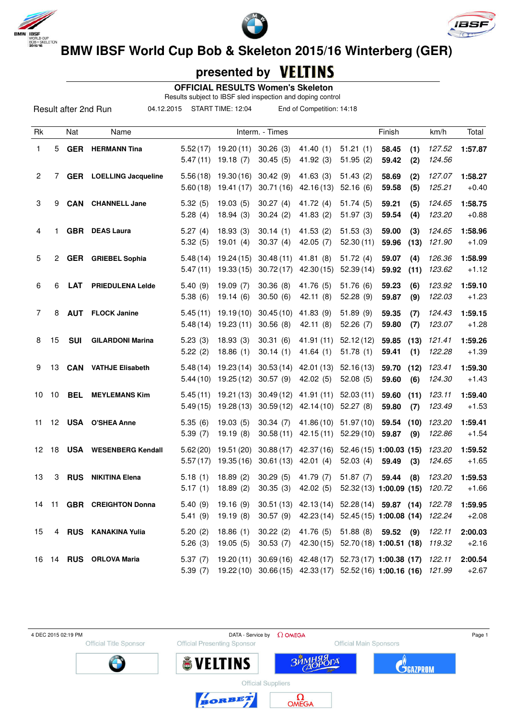

Result after 2nd Run





**BMW IBSF World Cup Bob & Skeleton 2015/16 Winterberg (GER)** 

### **presented by**

 **OFFICIAL RESULTS Women's Skeleton**

Results subject to IBSF sled inspection and doping control

04.12.2015 START TIME: 12:04 End of Competition: 14:18

| Rk             |                 | Nat        | Name                           |                      |                         | Interm. - Times        |                         |                           | Finish                                                                                                             | km/h             | Total              |
|----------------|-----------------|------------|--------------------------------|----------------------|-------------------------|------------------------|-------------------------|---------------------------|--------------------------------------------------------------------------------------------------------------------|------------------|--------------------|
| 1              | 5.              |            | <b>GER</b> HERMANN Tina        | 5.52(17)<br>5.47(11) | 19.20(11)<br>19.18(7)   | 30.26(3)<br>30.45(5)   | 41.40(1)<br>41.92(3)    | 51.21(1)<br>51.95(2)      | 58.45<br>(1)<br>(2)<br>59.42                                                                                       | 127.52<br>124.56 | 1:57.87            |
| $\overline{2}$ | 7               |            | <b>GER</b> LOELLING Jacqueline | 5.56(18)<br>5.60(18) | 19.30(16)<br>19.41 (17) | 30.42(9)<br>30.71(16)  | 41.63(3)<br>42.16(13)   | 51.43(2)<br>52.16(6)      | 58.69<br>(2)<br>59.58<br>(5)                                                                                       | 127.07<br>125.21 | 1:58.27<br>$+0.40$ |
| 3              | 9               | <b>CAN</b> | <b>CHANNELL Jane</b>           | 5.32(5)<br>5.28(4)   | 19.03(5)<br>18.94(3)    | 30.27(4)<br>30.24(2)   | 41.72 $(4)$<br>41.83(2) | 51.74(5)<br>51.97(3)      | 59.21<br>(5)<br>59.54<br>(4)                                                                                       | 124.65<br>123.20 | 1:58.75<br>$+0.88$ |
| 4              |                 |            | <b>GBR</b> DEAS Laura          | 5.27(4)<br>5.32(5)   | 18.93(3)<br>19.01(4)    | 30.14(1)<br>30.37(4)   | 41.53(2)<br>42.05 (7)   | 51.53(3)<br>52.30(11)     | 59.00<br>(3)<br>59.96<br>(13)                                                                                      | 124.65<br>121.90 | 1:58.96<br>$+1.09$ |
| 5              | 2               | <b>GER</b> | <b>GRIEBEL Sophia</b>          | 5.48(14)<br>5.47(11) | 19.24(15)<br>19.33(15)  | 30.48(11)<br>30.72(17) | 41.81(8)<br>42.30(15)   | 51.72(4)<br>52.39(14)     | 59.07<br>(4)<br>59.92<br>(11)                                                                                      | 126.36<br>123.62 | 1:58.99<br>$+1.12$ |
| 6              | 6               | <b>LAT</b> | <b>PRIEDULENA Lelde</b>        | 5.40(9)<br>5.38(6)   | 19.09(7)<br>19.14(6)    | 30.36(8)<br>30.50(6)   | 41.76 (5)<br>42.11 (8)  | 51.76(6)<br>52.28(9)      | 59.23<br>(6)<br>59.87<br>(9)                                                                                       | 123.92<br>122.03 | 1:59.10<br>$+1.23$ |
| 7              | 8               | <b>AUT</b> | <b>FLOCK Janine</b>            | 5.45(11)<br>5.48(14) | 19.19(10)<br>19.23(11)  | 30.45(10)<br>30.56(8)  | 41.83(9)<br>42.11(8)    | 51.89(9)<br>52.26(7)      | 59.35<br>(7)<br>59.80<br>(7)                                                                                       | 124.43<br>123.07 | 1:59.15<br>$+1.28$ |
| 8              | 15              | <b>SUI</b> | <b>GILARDONI Marina</b>        | 5.23(3)<br>5.22(2)   | 18.93(3)<br>18.86(1)    | 30.31(6)<br>30.14(1)   | 41.91(11)<br>41.64(1)   | 52.12(12)<br>51.78(1)     | 59.85<br>(13)<br>59.41<br>(1)                                                                                      | 121.41<br>122.28 | 1:59.26<br>$+1.39$ |
| 9              | 13              | <b>CAN</b> | <b>VATHJE Elisabeth</b>        | 5.48(14)<br>5.44(10) | 19.23(14)<br>19.25(12)  | 30.53(14)<br>30.57(9)  | 42.01 (13)<br>42.02(5)  | 52.16(13)<br>52.08(5)     | 59.70<br>(12)<br>59.60<br>(6)                                                                                      | 123.41<br>124.30 | 1:59.30<br>$+1.43$ |
| 10             | 10              | <b>BEL</b> | <b>MEYLEMANS Kim</b>           | 5.45(11)<br>5.49(15) | 19.21 (13)<br>19.28(13) | 30.49(12)<br>30.59(12) | 41.91(11)<br>42.14(10)  | 52.03(11)<br>52.27(8)     | 59.60<br>(11)<br>59.80<br>(7)                                                                                      | 123.11<br>123.49 | 1:59.40<br>$+1.53$ |
| 11             | 12 <sup>2</sup> |            | <b>USA O'SHEA Anne</b>         | 5.35(6)<br>5.39(7)   | 19.03(5)<br>19.19(8)    | 30.34(7)<br>30.58(11)  | 41.86 (10)<br>42.15(11) | 51.97(10)<br>52.29(10)    | 59.54<br>(10)<br>59.87<br>(9)                                                                                      | 123.20<br>122.86 | 1:59.41<br>$+1.54$ |
| 12             | 18              |            | <b>USA</b> WESENBERG Kendall   | 5.62(20)<br>5.57(17) | 19.51 (20)<br>19.35(16) | 30.88(17)<br>30.61(13) | 42.37 (16)<br>42.01(4)  | 52.03(4)                  | 52.46 (15) 1:00.03 (15)<br>59.49<br>(3)                                                                            | 123.20<br>124.65 | 1:59.52<br>$+1.65$ |
| 13             | 3               | <b>RUS</b> | <b>NIKITINA Elena</b>          | 5.18(1)<br>5.17(1)   | 18.89(2)<br>18.89(2)    | 30.29(5)<br>30.35(3)   | 41.79 (7)<br>42.02(5)   | 51.87(7)                  | 59.44<br>(8)<br>52.32 (13) 1:00.09 (15)                                                                            | 123.20<br>120.72 | 1:59.53<br>$+1.66$ |
|                |                 |            | 14 11 GBR CREIGHTON Donna      | 5.41(9)              | 19.19(8)                | 30.57(9)               |                         |                           | 5.40 (9) 19.16 (9) 30.51 (13) 42.13 (14) 52.28 (14) 59.87 (14) 122.78<br>42.23 (14) 52.45 (15) 1:00.08 (14) 122.24 |                  | 1:59.95<br>$+2.08$ |
| 15             |                 |            | 4 RUS KANAKINA Yulia           | 5.20(2)<br>5.26(3)   | 18.86(1)<br>19.05(5)    | 30.22(2)<br>30.53(7)   |                         | 41.76 (5) 51.88 (8) 59.52 | (9)<br>42.30 (15) 52.70 (18) 1:00.51 (18)                                                                          | 122.11<br>119.32 | 2:00.03<br>$+2.16$ |
|                |                 |            | 16 14 RUS ORLOVA Maria         | 5.37(7)<br>5.39(7)   | 19.20(11)               |                        |                         |                           | 30.69 (16) 42.48 (17) 52.73 (17) 1:00.38 (17)<br>19.22 (10) 30.66 (15) 42.33 (17) 52.52 (16) 1:00.16 (16) 121.99   | 122.11           | 2:00.54<br>$+2.67$ |

4 DEC 2015 02:19 PM  $\Box$  Page 1 **Official Presenting Sponsor** Official Title Sponsor Official Main Sponsors **SVELTINS C**GAZPROM ЗЙ  $\Gamma\Delta$ **Official Suppliers** 

BORBET

 $\Omega_{\text{OMEG}}$